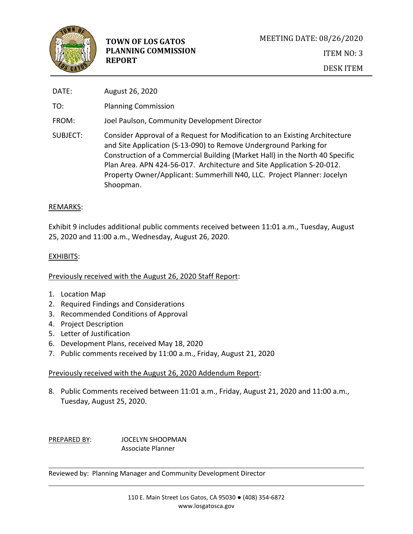

| DATE:    | August 26, 2020                                                                                                                                                                                                                                                                                                                                                                                    |
|----------|----------------------------------------------------------------------------------------------------------------------------------------------------------------------------------------------------------------------------------------------------------------------------------------------------------------------------------------------------------------------------------------------------|
| TO:      | <b>Planning Commission</b>                                                                                                                                                                                                                                                                                                                                                                         |
| FROM:    | Joel Paulson, Community Development Director                                                                                                                                                                                                                                                                                                                                                       |
| SUBJECT: | Consider Approval of a Request for Modification to an Existing Architecture<br>and Site Application (S-13-090) to Remove Underground Parking for<br>Construction of a Commercial Building (Market Hall) in the North 40 Specific<br>Plan Area. APN 424-56-017. Architecture and Site Application S-20-012.<br>Property Owner/Applicant: Summerhill N40, LLC. Project Planner: Jocelyn<br>Shoopman. |

# REMARKS:

Exhibit 9 includes additional public comments received between 11:01 a.m., Tuesday, August 25, 2020 and 11:00 a.m., Wednesday, August 26, 2020.

# EXHIBITS:

Previously received with the August 26, 2020 Staff Report:

- 1. Location Map
- 2. Required Findings and Considerations
- 3. Recommended Conditions of Approval
- 4. Project Description
- 5. Letter of Justification
- 6. Development Plans, received May 18, 2020
- 7. Public comments received by 11:00 a.m., Friday, August 21, 2020

# Previously received with the August 26, 2020 Addendum Report:

8. Public Comments received between 11:01 a.m., Friday, August 21, 2020 and 11:00 a.m., Tuesday, August 25, 2020.

PREPARED BY: JOCELYN SHOOPMAN Associate Planner

Reviewed by: Planning Manager and Community Development Director